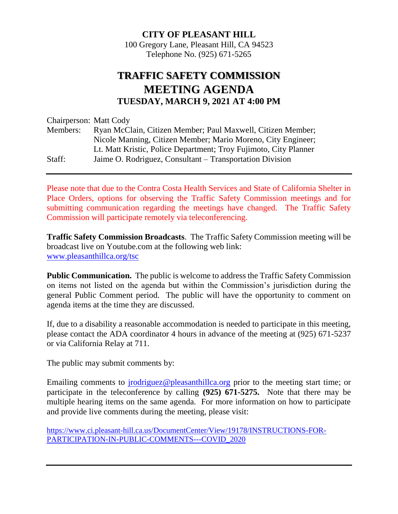#### **CITY OF PLEASANT HILL**

100 Gregory Lane, Pleasant Hill, CA 94523 Telephone No. (925) 671-5265

# **TRAFFIC SAFETY COMMISSION MEETING AGENDA TUESDAY, MARCH 9, 2021 AT 4:00 PM**

| Chairperson: Matt Cody |                                                                  |
|------------------------|------------------------------------------------------------------|
| Members:               | Ryan McClain, Citizen Member; Paul Maxwell, Citizen Member;      |
|                        | Nicole Manning, Citizen Member; Mario Moreno, City Engineer;     |
|                        | Lt. Matt Kristic, Police Department; Troy Fujimoto, City Planner |
| Staff:                 | Jaime O. Rodriguez, Consultant – Transportation Division         |
|                        |                                                                  |

Please note that due to the Contra Costa Health Services and State of California Shelter in Place Orders, options for observing the Traffic Safety Commission meetings and for submitting communication regarding the meetings have changed. The Traffic Safety Commission will participate remotely via teleconferencing.

**Traffic Safety Commission Broadcasts**. The Traffic Safety Commission meeting will be broadcast live on Youtube.com at the following web link: [www.pleasanthillca.org/tsc](http://www.pleasanthillca.org/tsc)

**Public Communication.** The public is welcome to address the Traffic Safety Commission on items not listed on the agenda but within the Commission's jurisdiction during the general Public Comment period. The public will have the opportunity to comment on agenda items at the time they are discussed.

If, due to a disability a reasonable accommodation is needed to participate in this meeting, please contact the ADA coordinator 4 hours in advance of the meeting at (925) 671-5237 or via California Relay at 711.

The public may submit comments by:

Emailing comments to [jrodriguez@pleasanthillca.org](mailto:jrodriguez@pleasanthillca.org) prior to the meeting start time; or participate in the teleconference by calling **(925) 671-5275.** Note that there may be multiple hearing items on the same agenda. For more information on how to participate and provide live comments during the meeting, please visit:

[https://www.ci.pleasant-hill.ca.us/DocumentCenter/View/19178/INSTRUCTIONS-FOR-](https://www.ci.pleasant-hill.ca.us/DocumentCenter/View/19178/INSTRUCTIONS-FOR-PARTICIPATION-IN-PUBLIC-COMMENTS---COVID_2020)[PARTICIPATION-IN-PUBLIC-COMMENTS---COVID\\_2020](https://www.ci.pleasant-hill.ca.us/DocumentCenter/View/19178/INSTRUCTIONS-FOR-PARTICIPATION-IN-PUBLIC-COMMENTS---COVID_2020)